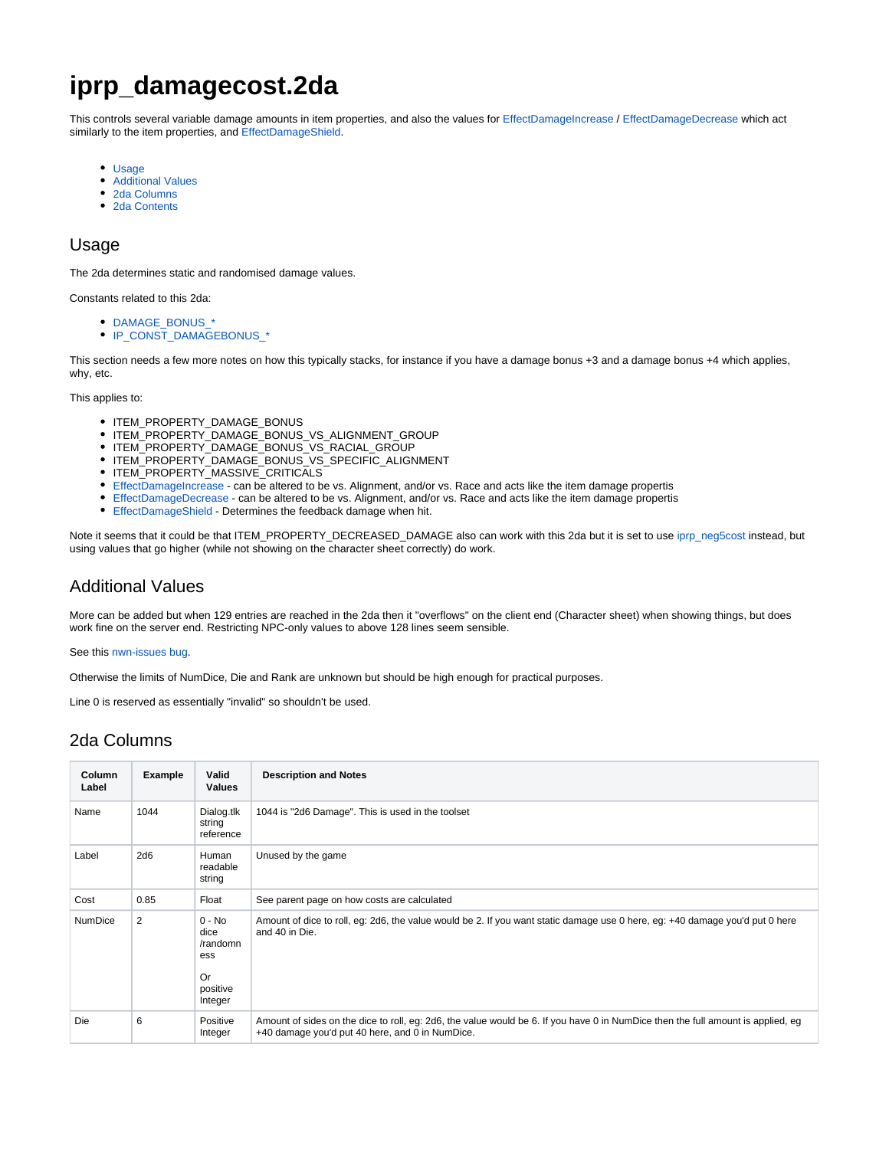# **iprp\_damagecost.2da**

This controls several variable damage amounts in item properties, and also the values for [EffectDamageIncrease](https://nwnlexicon.com/index.php?title=EffectDamageIncrease) / [EffectDamageDecrease](https://nwnlexicon.com/index.php?title=EffectDamageDecrease) which act similarly to the item properties, and [EffectDamageShield.](https://nwnlexicon.com/index.php?title=EffectDamageShield)

- [Usage](#page-0-0)
- [Additional Values](#page-0-1)
- [2da Columns](#page-0-2)
- [2da Contents](#page-1-0)

#### <span id="page-0-0"></span>Usage

The 2da determines static and randomised damage values.

Constants related to this 2da:

- **DAMAGE\_BONUS**
- [IP\\_CONST\\_DAMAGEBONUS\\_\\*](https://nwnlexicon.com/index.php?title=Ip_const_damagebonus)

This section needs a few more notes on how this typically stacks, for instance if you have a damage bonus +3 and a damage bonus +4 which applies, why, etc.

This applies to:

- ITEM\_PROPERTY\_DAMAGE\_BONUS
- ITEM\_PROPERTY\_DAMAGE\_BONUS\_VS\_ALIGNMENT\_GROUP
- $\bullet$  ITEM\_PROPERTY\_DAMAGE\_BONUS\_VS\_RACIAL\_GROUP
- ITEM\_PROPERTY\_DAMAGE\_BONUS\_VS\_SPECIFIC\_ALIGNMENT
- ITEM\_PROPERTY\_MASSIVE\_CRITICALS
- [EffectDamageIncrease](https://nwnlexicon.com/index.php?title=EffectDamageIncrease) can be altered to be vs. Alignment, and/or vs. Race and acts like the item damage propertis
- [EffectDamageDecrease](https://nwnlexicon.com/index.php?title=EffectDamageDecrease)  can be altered to be vs. Alignment, and/or vs. Race and acts like the item damage propertis
- **[EffectDamageShield](https://nwnlexicon.com/index.php?title=EffectDamageShield) Determines the feedback damage when hit.**

Note it seems that it could be that ITEM\_PROPERTY\_DECREASED\_DAMAGE also can work with this 2da but it is set to use [iprp\\_neg5cost](https://nwn.wiki/display/NWN1/iprp_neg5cost) instead, but using values that go higher (while not showing on the character sheet correctly) do work.

#### <span id="page-0-1"></span>Additional Values

More can be added but when 129 entries are reached in the 2da then it "overflows" on the client end (Character sheet) when showing things, but does work fine on the server end. Restricting NPC-only values to above 128 lines seem sensible.

See this [nwn-issues bug](https://github.com/Beamdog/nwn-issues/issues/212).

Otherwise the limits of NumDice, Die and Rank are unknown but should be high enough for practical purposes.

Line 0 is reserved as essentially "invalid" so shouldn't be used.

### <span id="page-0-2"></span>2da Columns

| <b>Column</b><br>Label | <b>Example</b> | Valid<br><b>Values</b>                                           | <b>Description and Notes</b>                                                                                                                                                        |
|------------------------|----------------|------------------------------------------------------------------|-------------------------------------------------------------------------------------------------------------------------------------------------------------------------------------|
| Name                   | 1044           | Dialog.tlk<br>string<br>reference                                | 1044 is "2d6 Damage". This is used in the toolset                                                                                                                                   |
| Label                  | 2d6            | Human<br>readable<br>string                                      | Unused by the game                                                                                                                                                                  |
| Cost                   | 0.85           | Float                                                            | See parent page on how costs are calculated                                                                                                                                         |
| <b>NumDice</b>         | $\overline{2}$ | $0 - No$<br>dice<br>/randomn<br>ess<br>Or<br>positive<br>Integer | Amount of dice to roll, eg: 2d6, the value would be 2. If you want static damage use 0 here, eg: +40 damage you'd put 0 here<br>and 40 in Die.                                      |
| <b>Die</b>             | 6              | Positive<br>Integer                                              | Amount of sides on the dice to roll, eg: 2d6, the value would be 6. If you have 0 in NumDice then the full amount is applied, eg<br>+40 damage you'd put 40 here, and 0 in NumDice. |